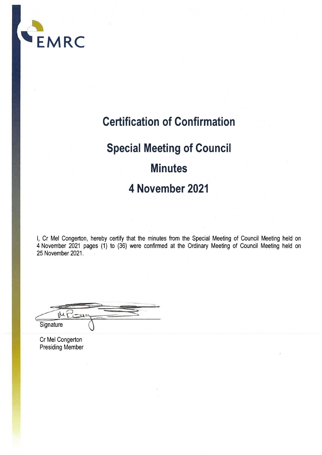

### **Certification of Confirmation**

## **Special Meeting of Council Minutes** 4 November 2021

I, Cr Mel Congerton, hereby certify that the minutes from the Special Meeting of Council Meeting held on 4 November 2021 pages (1) to (36) were confirmed at the Ordinary Meeting of Council Meeting held on 25 November 2021.

IM Signature

Cr Mel Congerton **Presiding Member**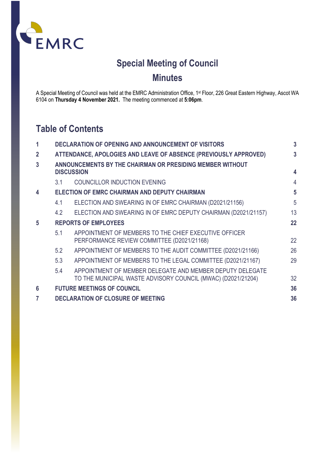

### **Special Meeting of Council Minutes**

A Special Meeting of Council was held at the EMRC Administration Office, 1st Floor, 226 Great Eastern Highway, Ascot WA 6104 on **Thursday 4 November 2021.** The meeting commenced at **5:06pm**.

### **Table of Contents**

| 1                       |                                                                                | <b>DECLARATION OF OPENING AND ANNOUNCEMENT OF VISITORS</b>                                                                | $\overline{3}$ |
|-------------------------|--------------------------------------------------------------------------------|---------------------------------------------------------------------------------------------------------------------------|----------------|
| $\overline{2}$          | ATTENDANCE, APOLOGIES AND LEAVE OF ABSENCE (PREVIOUSLY APPROVED)               |                                                                                                                           |                |
| $\overline{3}$          | ANNOUNCEMENTS BY THE CHAIRMAN OR PRESIDING MEMBER WITHOUT<br><b>DISCUSSION</b> |                                                                                                                           |                |
|                         | 3.1                                                                            | <b>COUNCILLOR INDUCTION EVENING</b>                                                                                       | $\overline{4}$ |
| $\overline{\mathbf{4}}$ |                                                                                | ELECTION OF EMRC CHAIRMAN AND DEPUTY CHAIRMAN                                                                             | 5              |
|                         | 4.1                                                                            | ELECTION AND SWEARING IN OF EMRC CHAIRMAN (D2021/21156)                                                                   | 5              |
|                         | 4.2                                                                            | ELECTION AND SWEARING IN OF EMRC DEPUTY CHAIRMAN (D2021/21157)                                                            | 13             |
| $\overline{5}$          |                                                                                | <b>REPORTS OF EMPLOYEES</b>                                                                                               | 22             |
|                         | 5.1                                                                            | APPOINTMENT OF MEMBERS TO THE CHIEF EXECUTIVE OFFICER<br>PERFORMANCE REVIEW COMMITTEE (D2021/21168)                       | 22             |
|                         | 5.2                                                                            | APPOINTMENT OF MEMBERS TO THE AUDIT COMMITTEE (D2021/21166)                                                               | 26             |
|                         | 5.3                                                                            | APPOINTMENT OF MEMBERS TO THE LEGAL COMMITTEE (D2021/21167)                                                               | 29             |
|                         | 5.4                                                                            | APPOINTMENT OF MEMBER DELEGATE AND MEMBER DEPUTY DELEGATE<br>TO THE MUNICIPAL WASTE ADVISORY COUNCIL (MWAC) (D2021/21204) | 32             |
| 6                       |                                                                                | <b>FUTURE MEETINGS OF COUNCIL</b>                                                                                         | 36             |
| 7                       |                                                                                | <b>DECLARATION OF CLOSURE OF MEETING</b>                                                                                  | 36             |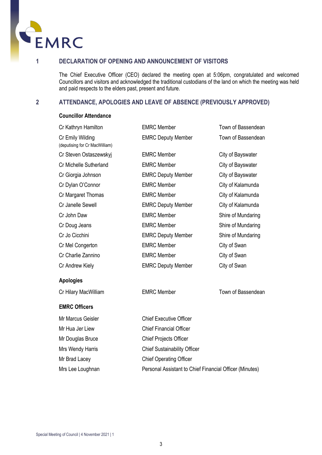

<span id="page-2-0"></span>

#### **1 DECLARATION OF OPENING AND ANNOUNCEMENT OF VISITORS**

The Chief Executive Officer (CEO) declared the meeting open at 5:06pm, congratulated and welcomed Councillors and visitors and acknowledged the traditional custodians of the land on which the meeting was held and paid respects to the elders past, present and future.

#### <span id="page-2-1"></span>**2 ATTENDANCE, APOLOGIES AND LEAVE OF ABSENCE (PREVIOUSLY APPROVED)**

#### **Councillor Attendance**

| Cr Kathryn Hamilton                                | <b>EMRC Member</b>        | Town of Bassendean |
|----------------------------------------------------|---------------------------|--------------------|
| Cr Emily Wilding<br>(deputising for Cr MacWilliam) | <b>EMRC Deputy Member</b> | Town of Bassendean |
| Cr Steven Ostaszewskyj                             | <b>EMRC Member</b>        | City of Bayswater  |
| Cr Michelle Sutherland                             | <b>EMRC</b> Member        | City of Bayswater  |
| Cr Giorgia Johnson                                 | <b>EMRC Deputy Member</b> | City of Bayswater  |
| Cr Dylan O'Connor                                  | <b>EMRC Member</b>        | City of Kalamunda  |
| Cr Margaret Thomas                                 | <b>EMRC Member</b>        | City of Kalamunda  |
| Cr Janelle Sewell                                  | <b>EMRC Deputy Member</b> | City of Kalamunda  |
| Cr John Daw                                        | <b>EMRC Member</b>        | Shire of Mundaring |
| Cr Doug Jeans                                      | <b>EMRC Member</b>        | Shire of Mundaring |
| Cr Jo Cicchini                                     | <b>EMRC Deputy Member</b> | Shire of Mundaring |
| Cr Mel Congerton                                   | <b>EMRC Member</b>        | City of Swan       |
| Cr Charlie Zannino                                 | <b>EMRC Member</b>        | City of Swan       |
| Cr Andrew Kiely                                    | <b>EMRC Deputy Member</b> | City of Swan       |
|                                                    |                           |                    |

#### **Apologies**

Cr Hilary MacWilliam **EMRC Member** EMRC Member Town of Bassendean

#### **EMRC Officers**

Mr Marcus Geisler **Chief Executive Officer** Mr Hua Jer Liew Chief Financial Officer Mr Douglas Bruce Chief Projects Officer Mrs Wendy Harris Chief Sustainability Officer Mr Brad Lacey Chief Operating Officer Mrs Lee Loughnan Personal Assistant to Chief Financial Officer (Minutes)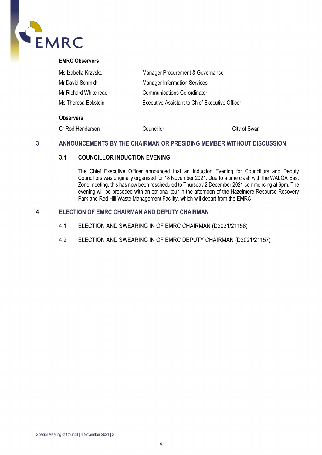

| Ms Izabella Krzysko  | Manager Procurement & Governance               |  |
|----------------------|------------------------------------------------|--|
| Mr David Schmidt     | <b>Manager Information Services</b>            |  |
| Mr Richard Whitehead | <b>Communications Co-ordinator</b>             |  |
| Ms Theresa Eckstein  | Executive Assistant to Chief Executive Officer |  |

#### **Observers**

| Cr Rod Henderson | Councillor | City of Swan |
|------------------|------------|--------------|
|                  |            |              |

#### <span id="page-3-2"></span><span id="page-3-1"></span><span id="page-3-0"></span>**3 ANNOUNCEMENTS BY THE CHAIRMAN OR PRESIDING MEMBER WITHOUT DISCUSSION**

#### **3.1 COUNCILLOR INDUCTION EVENING**

The Chief Executive Officer announced that an Induction Evening for Councillors and Deputy Councillors was originally organised for 18 November 2021. Due to a time clash with the WALGA East Zone meeting, this has now been rescheduled to Thursday 2 December 2021 commencing at 6pm. The evening will be preceded with an optional tour in the afternoon of the Hazelmere Resource Recovery Park and Red Hill Waste Management Facility, which will depart from the EMRC.

#### <span id="page-3-3"></span>**4 ELECTION OF EMRC CHAIRMAN AND DEPUTY CHAIRMAN**

- 4.1 ELECTION AND SWEARING IN OF EMRC CHAIRMAN (D2021/21156)
- <span id="page-3-4"></span>4.2 ELECTION AND SWEARING IN OF EMRC DEPUTY CHAIRMAN (D2021/21157)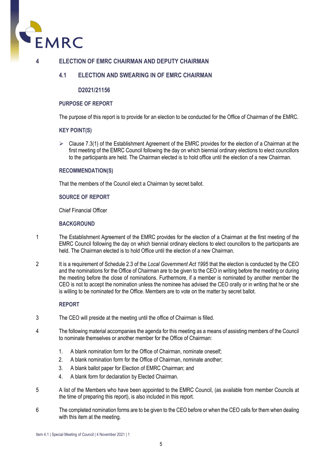

#### **4 ELECTION OF EMRC CHAIRMAN AND DEPUTY CHAIRMAN**

#### **4.1 ELECTION AND SWEARING IN OF EMRC CHAIRMAN**

#### **D2021/21156**

#### **PURPOSE OF REPORT**

The purpose of this report is to provide for an election to be conducted for the Office of Chairman of the EMRC.

#### **KEY POINT(S)**

 $\triangleright$  Clause 7.3(1) of the Establishment Agreement of the EMRC provides for the election of a Chairman at the first meeting of the EMRC Council following the day on which biennial ordinary elections to elect councillors to the participants are held. The Chairman elected is to hold office until the election of a new Chairman.

#### **RECOMMENDATION(S)**

That the members of the Council elect a Chairman by secret ballot.

#### **SOURCE OF REPORT**

Chief Financial Officer

#### **BACKGROUND**

- 1 The Establishment Agreement of the EMRC provides for the election of a Chairman at the first meeting of the EMRC Council following the day on which biennial ordinary elections to elect councillors to the participants are held. The Chairman elected is to hold Office until the election of a new Chairman.
- 2 It is a requirement of Schedule 2.3 of the *Local Government Act 1995* that the election is conducted by the CEO and the nominations for the Office of Chairman are to be given to the CEO in writing before the meeting or during the meeting before the close of nominations. Furthermore, if a member is nominated by another member the CEO is not to accept the nomination unless the nominee has advised the CEO orally or in writing that he or she is willing to be nominated for the Office. Members are to vote on the matter by secret ballot.

#### **REPORT**

- 3 The CEO will preside at the meeting until the office of Chairman is filled.
- 4 The following material accompanies the agenda for this meeting as a means of assisting members of the Council to nominate themselves or another member for the Office of Chairman:
	- 1. A blank nomination form for the Office of Chairman, nominate oneself;
	- 2. A blank nomination form for the Office of Chairman, nominate another;
	- 3. A blank ballot paper for Election of EMRC Chairman; and
	- 4. A blank form for declaration by Elected Chairman.
- 5 A list of the Members who have been appointed to the EMRC Council, (as available from member Councils at the time of preparing this report), is also included in this report.
- 6 The completed nomination forms are to be given to the CEO before or when the CEO calls for them when dealing with this item at the meeting.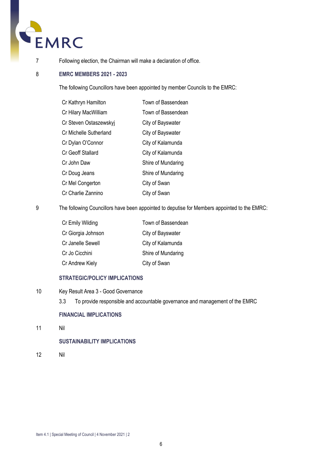

7 Following election, the Chairman will make a declaration of office.

#### 8 **EMRC MEMBERS 2021 - 2023**

The following Councillors have been appointed by member Councils to the EMRC:

| Cr Kathryn Hamilton    | Town of Bassendean |
|------------------------|--------------------|
| Cr Hilary MacWilliam   | Town of Bassendean |
| Cr Steven Ostaszewskyj | City of Bayswater  |
| Cr Michelle Sutherland | City of Bayswater  |
| Cr Dylan O'Connor      | City of Kalamunda  |
| Cr Geoff Stallard      | City of Kalamunda  |
| Cr John Daw            | Shire of Mundaring |
| Cr Doug Jeans          | Shire of Mundaring |
| Cr Mel Congerton       | City of Swan       |
| Cr Charlie Zannino     | City of Swan       |

9 The following Councillors have been appointed to deputise for Members appointed to the EMRC:

| Cr Emily Wilding   | Town of Bassendean |
|--------------------|--------------------|
| Cr Giorgia Johnson | City of Bayswater  |
| Cr Janelle Sewell  | City of Kalamunda  |
| Cr Jo Cicchini     | Shire of Mundaring |
| Cr Andrew Kiely    | City of Swan       |
|                    |                    |

#### **STRATEGIC/POLICY IMPLICATIONS**

- 10 Key Result Area 3 Good Governance
	- 3.3 To provide responsible and accountable governance and management of the EMRC

#### **FINANCIAL IMPLICATIONS**

11 Nil

#### **SUSTAINABILITY IMPLICATIONS**

12 Nil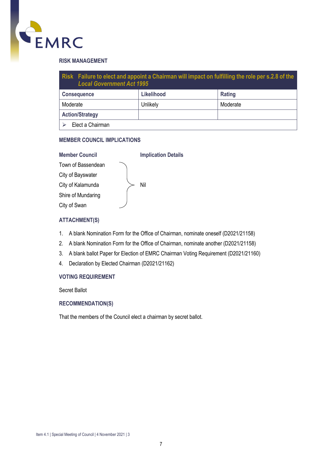

#### **RISK MANAGEMENT**

| Risk Failure to elect and appoint a Chairman will impact on fulfilling the role per s.2.8 of the<br><b>Local Government Act 1995</b> |          |          |  |
|--------------------------------------------------------------------------------------------------------------------------------------|----------|----------|--|
| <b>Likelihood</b><br>Rating<br><b>Consequence</b>                                                                                    |          |          |  |
| Moderate                                                                                                                             | Unlikely | Moderate |  |
| <b>Action/Strategy</b>                                                                                                               |          |          |  |
| Elect a Chairman                                                                                                                     |          |          |  |

#### **MEMBER COUNCIL IMPLICATIONS**

| <b>Member Council</b> | <b>Implication Details</b> |
|-----------------------|----------------------------|
| Town of Bassendean    |                            |
| City of Bayswater     |                            |
| City of Kalamunda     | Nil                        |
| Shire of Mundaring    |                            |
| City of Swan          |                            |
|                       |                            |

#### **ATTACHMENT(S)**

- 1. A blank Nomination Form for the Office of Chairman, nominate oneself (D2021/21158)
- 2. A blank Nomination Form for the Office of Chairman, nominate another (D2021/21158)
- 3. A blank ballot Paper for Election of EMRC Chairman Voting Requirement (D2021/21160)
- 4. Declaration by Elected Chairman (D2021/21162)

#### **VOTING REQUIREMENT**

Secret Ballot

#### **RECOMMENDATION(S)**

That the members of the Council elect a chairman by secret ballot.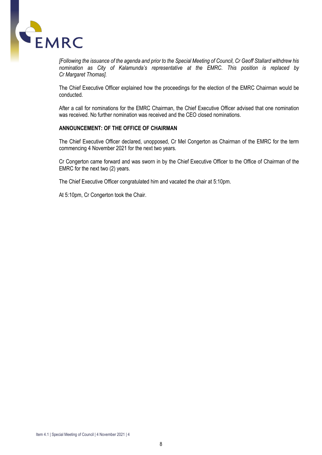

*[Following the issuance of the agenda and prior to the Special Meeting of Council, Cr Geoff Stallard withdrew his nomination as City of Kalamunda's representative at the EMRC. This position is replaced by Cr Margaret Thomas].*

The Chief Executive Officer explained how the proceedings for the election of the EMRC Chairman would be conducted.

After a call for nominations for the EMRC Chairman, the Chief Executive Officer advised that one nomination was received. No further nomination was received and the CEO closed nominations.

#### **ANNOUNCEMENT: OF THE OFFICE OF CHAIRMAN**

The Chief Executive Officer declared, unopposed, Cr Mel Congerton as Chairman of the EMRC for the term commencing 4 November 2021 for the next two years.

Cr Congerton came forward and was sworn in by the Chief Executive Officer to the Office of Chairman of the EMRC for the next two (2) years.

The Chief Executive Officer congratulated him and vacated the chair at 5:10pm.

At 5:10pm, Cr Congerton took the Chair.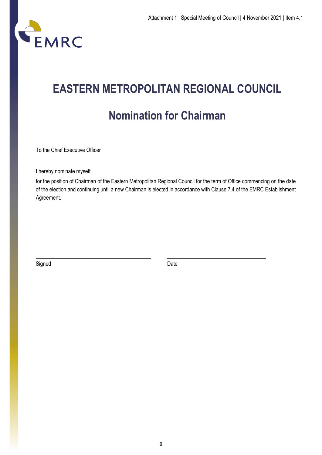

## **EASTERN METROPOLITAN REGIONAL COUNCIL Nomination for Chairman**

To the Chief Executive Officer

I hereby nominate myself,

for the position of Chairman of the Eastern Metropolitan Regional Council for the term of Office commencing on the date of the election and continuing until a new Chairman is elected in accordance with Clause 7.4 of the EMRC Establishment Agreement.

Signed Date Date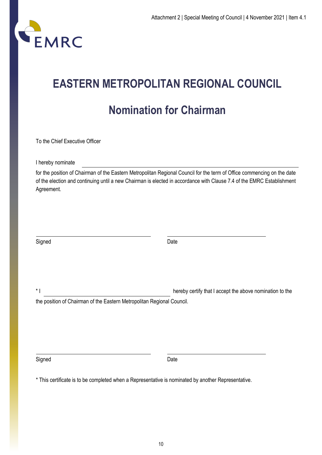

## **EASTERN METROPOLITAN REGIONAL COUNCIL**

### **Nomination for Chairman**

To the Chief Executive Officer

I hereby nominate

for the position of Chairman of the Eastern Metropolitan Regional Council for the term of Office commencing on the date of the election and continuing until a new Chairman is elected in accordance with Clause 7.4 of the EMRC Establishment Agreement.

| Signed | Date |
|--------|------|
|        |      |

\* I hereby certify that I accept the above nomination to the

the position of Chairman of the Eastern Metropolitan Regional Council.

Signed Date **Date** 

\* This certificate is to be completed when a Representative is nominated by another Representative.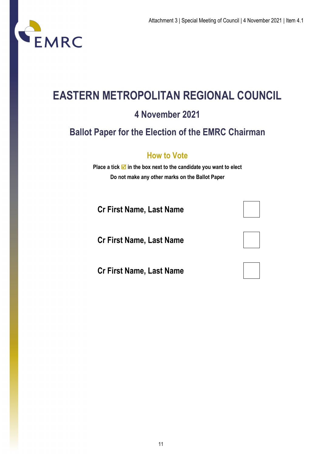

### **EASTERN METROPOLITAN REGIONAL COUNCIL**

### **4 November 2021**

### **Ballot Paper for the Election of the EMRC Chairman**

### **How to Vote**

**Place a tick**  $\mathbf{\nabla}$  **in the box next to the candidate you want to elect Do not make any other marks on the Ballot Paper**

**Cr First Name, Last Name**

**Cr First Name, Last Name**

**Cr First Name, Last Name**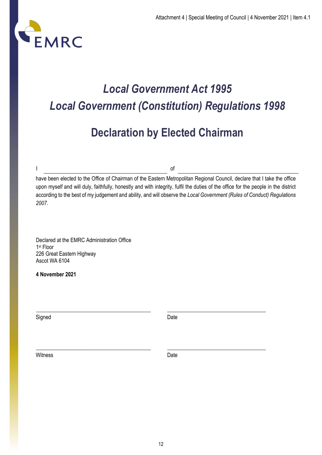

## *Local Government Act 1995 Local Government (Constitution) Regulations 1998*

### **Declaration by Elected Chairman**

I of

have been elected to the Office of Chairman of the Eastern Metropolitan Regional Council, declare that I take the office upon myself and will duly, faithfully, honestly and with integrity, fulfil the duties of the office for the people in the district according to the best of my judgement and ability, and will observe the *Local Government (Rules of Conduct) Regulations 2007.*

Declared at the EMRC Administration Office 1st Floor 226 Great Eastern Highway Ascot WA 6104

**4 November 2021** 

Signed **Date** 

Witness **Date**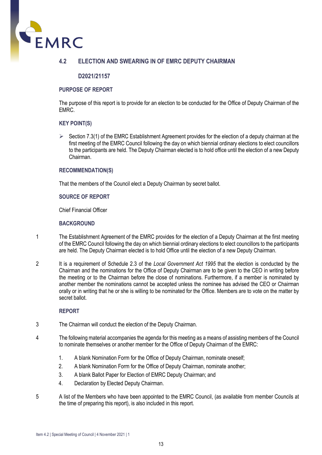

#### **4.2 ELECTION AND SWEARING IN OF EMRC DEPUTY CHAIRMAN**

#### **D2021/21157**

#### **PURPOSE OF REPORT**

The purpose of this report is to provide for an election to be conducted for the Office of Deputy Chairman of the EMRC.

#### **KEY POINT(S)**

 $\triangleright$  Section 7.3(1) of the EMRC Establishment Agreement provides for the election of a deputy chairman at the first meeting of the EMRC Council following the day on which biennial ordinary elections to elect councillors to the participants are held. The Deputy Chairman elected is to hold office until the election of a new Deputy Chairman.

#### **RECOMMENDATION(S)**

That the members of the Council elect a Deputy Chairman by secret ballot.

#### **SOURCE OF REPORT**

Chief Financial Officer

#### **BACKGROUND**

- 1 The Establishment Agreement of the EMRC provides for the election of a Deputy Chairman at the first meeting of the EMRC Council following the day on which biennial ordinary elections to elect councillors to the participants are held. The Deputy Chairman elected is to hold Office until the election of a new Deputy Chairman.
- 2 It is a requirement of Schedule 2.3 of the *Local Government Act 1995* that the election is conducted by the Chairman and the nominations for the Office of Deputy Chairman are to be given to the CEO in writing before the meeting or to the Chairman before the close of nominations. Furthermore, if a member is nominated by another member the nominations cannot be accepted unless the nominee has advised the CEO or Chairman orally or in writing that he or she is willing to be nominated for the Office. Members are to vote on the matter by secret ballot.

#### **REPORT**

- 3 The Chairman will conduct the election of the Deputy Chairman.
- 4 The following material accompanies the agenda for this meeting as a means of assisting members of the Council to nominate themselves or another member for the Office of Deputy Chairman of the EMRC:
	- 1. A blank Nomination Form for the Office of Deputy Chairman, nominate oneself;
	- 2. A blank Nomination Form for the Office of Deputy Chairman, nominate another;
	- 3. A blank Ballot Paper for Election of EMRC Deputy Chairman; and
	- 4. Declaration by Elected Deputy Chairman.
- 5 A list of the Members who have been appointed to the EMRC Council, (as available from member Councils at the time of preparing this report), is also included in this report.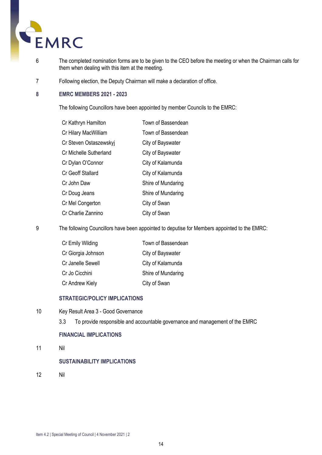

- 6 The completed nomination forms are to be given to the CEO before the meeting or when the Chairman calls for them when dealing with this item at the meeting.
- 7 Following election, the Deputy Chairman will make a declaration of office.

#### **8 EMRC MEMBERS 2021 - 2023**

The following Councillors have been appointed by member Councils to the EMRC:

| Cr Kathryn Hamilton    | Town of Bassendean |
|------------------------|--------------------|
| Cr Hilary MacWilliam   | Town of Bassendean |
| Cr Steven Ostaszewskyj | City of Bayswater  |
| Cr Michelle Sutherland | City of Bayswater  |
| Cr Dylan O'Connor      | City of Kalamunda  |
| Cr Geoff Stallard      | City of Kalamunda  |
| Cr John Daw            | Shire of Mundaring |
| Cr Doug Jeans          | Shire of Mundaring |
| Cr Mel Congerton       | City of Swan       |
| Cr Charlie Zannino     | City of Swan       |

9 The following Councillors have been appointed to deputise for Members appointed to the EMRC:

| Cr Emily Wilding   | Town of Bassendean |
|--------------------|--------------------|
| Cr Giorgia Johnson | City of Bayswater  |
| Cr Janelle Sewell  | City of Kalamunda  |
| Cr Jo Cicchini     | Shire of Mundaring |
| Cr Andrew Kiely    | City of Swan       |

#### **STRATEGIC/POLICY IMPLICATIONS**

- 10 Key Result Area 3 Good Governance
	- 3.3 To provide responsible and accountable governance and management of the EMRC

#### **FINANCIAL IMPLICATIONS**

11 Nil

#### **SUSTAINABILITY IMPLICATIONS**

12 Nil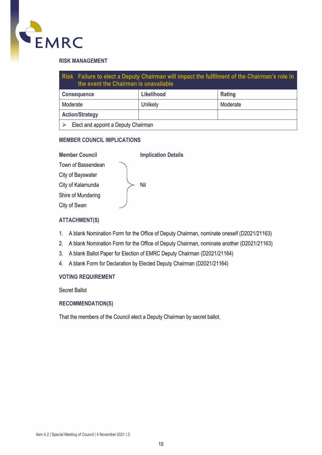

#### **RISK MANAGEMENT**

| Risk Failure to elect a Deputy Chairman will impact the fulfilment of the Chairman's role in<br>the event the Chairman is unavailable |          |          |  |
|---------------------------------------------------------------------------------------------------------------------------------------|----------|----------|--|
| Likelihood<br>Rating<br><b>Consequence</b>                                                                                            |          |          |  |
| Moderate                                                                                                                              | Unlikely | Moderate |  |
| <b>Action/Strategy</b>                                                                                                                |          |          |  |
| Elect and appoint a Deputy Chairman                                                                                                   |          |          |  |

#### **MEMBER COUNCIL IMPLICATIONS**

| <b>Member Council</b> | <b>Implication Details</b> |
|-----------------------|----------------------------|
| Town of Bassendean    |                            |
| City of Bayswater     |                            |
| City of Kalamunda     | Nil                        |
| Shire of Mundaring    |                            |
| City of Swan          |                            |
|                       |                            |

#### **ATTACHMENT(S)**

- 1. A blank Nomination Form for the Office of Deputy Chairman, nominate oneself (D2021/21163)
- 2. A blank Nomination Form for the Office of Deputy Chairman, nominate another (D2021/21163)
- 3. A blank Ballot Paper for Election of EMRC Deputy Chairman (D2021/21164)
- 4. A blank Form for Declaration by Elected Deputy Chairman (D2021/21164)

#### **VOTING REQUIREMENT**

Secret Ballot

#### **RECOMMENDATION(S)**

That the members of the Council elect a Deputy Chairman by secret ballot.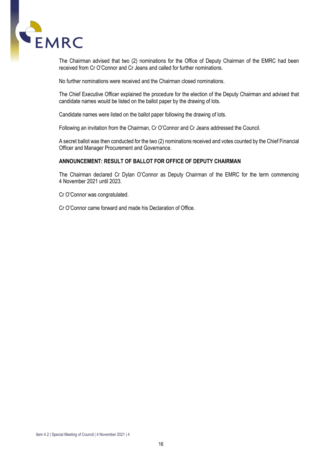

The Chairman advised that two (2) nominations for the Office of Deputy Chairman of the EMRC had been received from Cr O'Connor and Cr Jeans and called for further nominations.

No further nominations were received and the Chairman closed nominations.

The Chief Executive Officer explained the procedure for the election of the Deputy Chairman and advised that candidate names would be listed on the ballot paper by the drawing of lots.

Candidate names were listed on the ballot paper following the drawing of lots.

Following an invitation from the Chairman, Cr O'Connor and Cr Jeans addressed the Council.

A secret ballot was then conducted for the two (2) nominations received and votes counted by the Chief Financial Officer and Manager Procurement and Governance.

#### **ANNOUNCEMENT: RESULT OF BALLOT FOR OFFICE OF DEPUTY CHAIRMAN**

The Chairman declared Cr Dylan O'Connor as Deputy Chairman of the EMRC for the term commencing 4 November 2021 until 2023.

Cr O'Connor was congratulated.

Cr O'Connor came forward and made his Declaration of Office.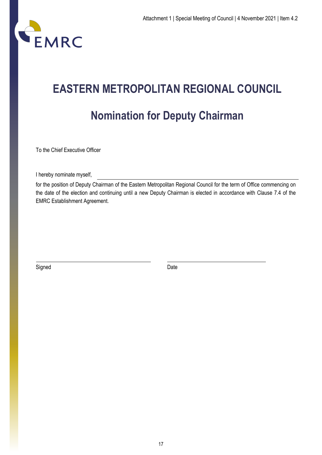

# **EASTERN METROPOLITAN REGIONAL COUNCIL Nomination for Deputy Chairman**

To the Chief Executive Officer

I hereby nominate myself,

for the position of Deputy Chairman of the Eastern Metropolitan Regional Council for the term of Office commencing on the date of the election and continuing until a new Deputy Chairman is elected in accordance with Clause 7.4 of the EMRC Establishment Agreement.

Signed Date **Date**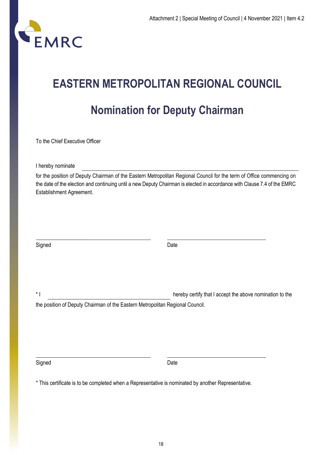

# **EASTERN METROPOLITAN REGIONAL COUNCIL Nomination for Deputy Chairman**

To the Chief Executive Officer

I hereby nominate

for the position of Deputy Chairman of the Eastern Metropolitan Regional Council for the term of Office commencing on the date of the election and continuing until a new Deputy Chairman is elected in accordance with Clause 7.4 of the EMRC Establishment Agreement.

| Signed | Date                                                                          |  |
|--------|-------------------------------------------------------------------------------|--|
|        |                                                                               |  |
|        |                                                                               |  |
|        |                                                                               |  |
|        |                                                                               |  |
| $*1$   | hereby certify that I accept the above nomination to the                      |  |
|        | the position of Deputy Chairman of the Eastern Metropolitan Regional Council. |  |

Signed Date **Date** 

\* This certificate is to be completed when a Representative is nominated by another Representative.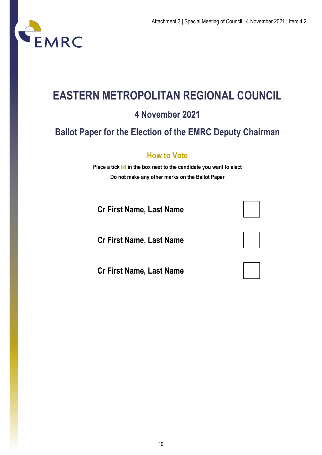

## **EASTERN METROPOLITAN REGIONAL COUNCIL**

### **4 November 2021**

### **Ballot Paper for the Election of the EMRC Deputy Chairman**

### **How to Vote**

**Place a tick**  $\mathbf{\nabla}$  **in the box next to the candidate you want to elect Do not make any other marks on the Ballot Paper**

**Cr First Name, Last Name**

**Cr First Name, Last Name**

**Cr First Name, Last Name**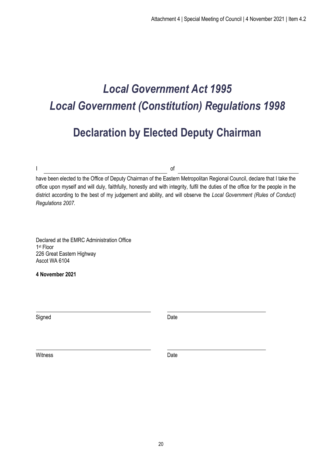### *Local Government Act 1995 Local Government (Constitution) Regulations 1998*

### **Declaration by Elected Deputy Chairman**

I of

have been elected to the Office of Deputy Chairman of the Eastern Metropolitan Regional Council, declare that I take the office upon myself and will duly, faithfully, honestly and with integrity, fulfil the duties of the office for the people in the district according to the best of my judgement and ability, and will observe the *Local Government (Rules of Conduct) Regulations 2007.*

Declared at the EMRC Administration Office 1st Floor 226 Great Eastern Highway Ascot WA 6104

**4 November 2021** 

Signed Date **Date** 

Witness Date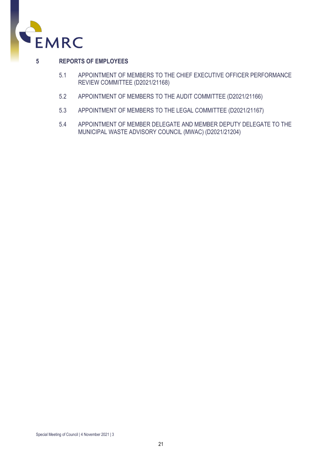

#### **5 REPORTS OF EMPLOYEES**

- 5.1 APPOINTMENT OF MEMBERS TO THE CHIEF EXECUTIVE OFFICER PERFORMANCE REVIEW COMMITTEE (D2021/21168)
- 5.2 APPOINTMENT OF MEMBERS TO THE AUDIT COMMITTEE (D2021/21166)
- 5.3 APPOINTMENT OF MEMBERS TO THE LEGAL COMMITTEE (D2021/21167)
- 5.4 APPOINTMENT OF MEMBER DELEGATE AND MEMBER DEPUTY DELEGATE TO THE MUNICIPAL WASTE ADVISORY COUNCIL (MWAC) (D2021/21204)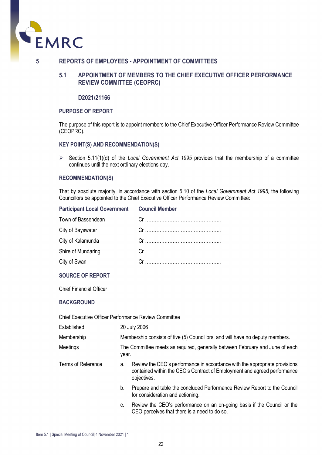

#### **5 REPORTS OF EMPLOYEES - APPOINTMENT OF COMMITTEES**

#### **5.1 APPOINTMENT OF MEMBERS TO THE CHIEF EXECUTIVE OFFICER PERFORMANCE REVIEW COMMITTEE (CEOPRC)**

#### **D2021/21166**

#### **PURPOSE OF REPORT**

The purpose of this report is to appoint members to the Chief Executive Officer Performance Review Committee (CEOPRC).

#### **KEY POINT(S) AND RECOMMENDATION(S)**

 $\triangleright$  Section 5.11(1)(d) of the *Local Government Act 1995* provides that the membership of a committee continues until the next ordinary elections day.

#### **RECOMMENDATION(S)**

That by absolute majority, in accordance with section 5.10 of the *Local Government Act 1995,* the following Councillors be appointed to the Chief Executive Officer Performance Review Committee:

#### **Participant Local Government Council Member**

| Town of Bassendean |  |
|--------------------|--|
| City of Bayswater  |  |
| City of Kalamunda  |  |
| Shire of Mundaring |  |
| City of Swan       |  |

#### **SOURCE OF REPORT**

Chief Financial Officer

#### **BACKGROUND**

Chief Executive Officer Performance Review Committee

| Established        | 20 July 2006                                                                          |                                                                                                                                                                       |  |
|--------------------|---------------------------------------------------------------------------------------|-----------------------------------------------------------------------------------------------------------------------------------------------------------------------|--|
| Membership         | Membership consists of five (5) Councillors, and will have no deputy members.         |                                                                                                                                                                       |  |
| Meetings           | The Committee meets as required, generally between February and June of each<br>year. |                                                                                                                                                                       |  |
| Terms of Reference | a.                                                                                    | Review the CEO's performance in accordance with the appropriate provisions<br>contained within the CEO's Contract of Employment and agreed performance<br>objectives. |  |
|                    | b.                                                                                    | Prepare and table the concluded Performance Review Report to the Council<br>for consideration and actioning.                                                          |  |
|                    | c.                                                                                    | Review the CEO's performance on an on-going basis if the Council or the<br>CEO perceives that there is a need to do so.                                               |  |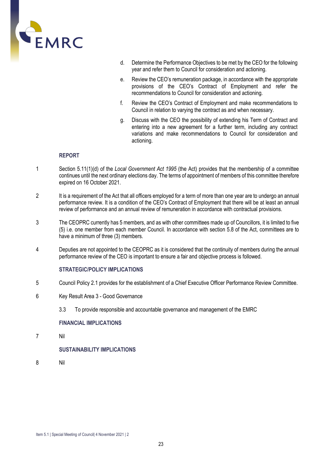

- d. Determine the Performance Objectives to be met by the CEO for the following year and refer them to Council for consideration and actioning.
- e. Review the CEO's remuneration package, in accordance with the appropriate provisions of the CEO's Contract of Employment and refer the recommendations to Council for consideration and actioning.
- f. Review the CEO's Contract of Employment and make recommendations to Council in relation to varying the contract as and when necessary.
- g. Discuss with the CEO the possibility of extending his Term of Contract and entering into a new agreement for a further term, including any contract variations and make recommendations to Council for consideration and actioning.

#### **REPORT**

- 1 Section 5.11(1)(d) of the *Local Government Act 1995* (the Act) provides that the membership of a committee continues until the next ordinary elections day. The terms of appointment of members of this committee therefore expired on 16 October 2021.
- 2 It is a requirement of the Act that all officers employed for a term of more than one year are to undergo an annual performance review. It is a condition of the CEO's Contract of Employment that there will be at least an annual review of performance and an annual review of remuneration in accordance with contractual provisions.
- 3 The CEOPRC currently has 5 members, and as with other committees made up of Councillors, it is limited to five (5) i.e. one member from each member Council. In accordance with section 5.8 of the Act, committees are to have a minimum of three (3) members.
- 4 Deputies are not appointed to the CEOPRC as it is considered that the continuity of members during the annual performance review of the CEO is important to ensure a fair and objective process is followed.

#### **STRATEGIC/POLICY IMPLICATIONS**

- 5 Council Policy 2.1 provides for the establishment of a Chief Executive Officer Performance Review Committee.
- 6 Key Result Area 3 Good Governance
	- 3.3 To provide responsible and accountable governance and management of the EMRC

#### **FINANCIAL IMPLICATIONS**

7 Nil

#### **SUSTAINABILITY IMPLICATIONS**

8 Nil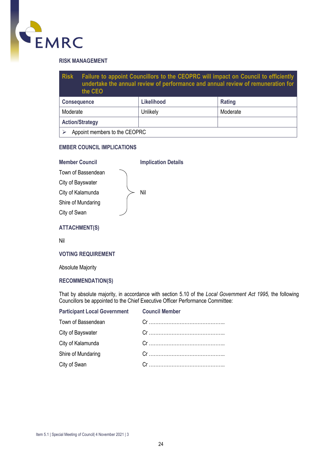

#### **RISK MANAGEMENT**

| <b>Risk</b>            | Failure to appoint Councillors to the CEOPRC will impact on Council to efficiently<br>undertake the annual review of performance and annual review of remuneration for<br>the CEO |            |          |
|------------------------|-----------------------------------------------------------------------------------------------------------------------------------------------------------------------------------|------------|----------|
| <b>Consequence</b>     |                                                                                                                                                                                   | Likelihood | Rating   |
| Moderate               |                                                                                                                                                                                   | Unlikely   | Moderate |
| <b>Action/Strategy</b> |                                                                                                                                                                                   |            |          |
|                        | Appoint members to the CEOPRC                                                                                                                                                     |            |          |

#### **EMBER COUNCIL IMPLICATIONS**

#### **Member Council Implication Details**

| Town of Bassendean |
|--------------------|
| City of Bayswater  |
| City of Kalamunda  |
| Shire of Mundaring |
| City of Swan       |

Nil

#### **ATTACHMENT(S)**

Nil

#### **VOTING REQUIREMENT**

Absolute Majority

#### **RECOMMENDATION(S)**

That by absolute majority, in accordance with section 5.10 of the *Local Government Act 1995,* the following Councillors be appointed to the Chief Executive Officer Performance Committee:

#### **Participant Local Government Council Member**

| Town of Bassendean |                                                                                                                                                                                                                                                           |
|--------------------|-----------------------------------------------------------------------------------------------------------------------------------------------------------------------------------------------------------------------------------------------------------|
| City of Bayswater  |                                                                                                                                                                                                                                                           |
| City of Kalamunda  |                                                                                                                                                                                                                                                           |
| Shire of Mundaring | $Cr$ and $Cr$ and $Cr$ and $Cr$ and $Cr$ and $Cr$ and $Cr$ and $Cr$ and $Cr$ and $Cr$ and $Cr$ and $Cr$ and $Cr$ and $Cr$ and $Cr$ and $Cr$ and $Cr$ and $Cr$ and $Cr$ and $Cr$ and $Cr$ and $Cr$ and $Cr$ and $Cr$ and $Cr$ and $Cr$ and $Cr$ and $Cr$ a |
| City of Swan       |                                                                                                                                                                                                                                                           |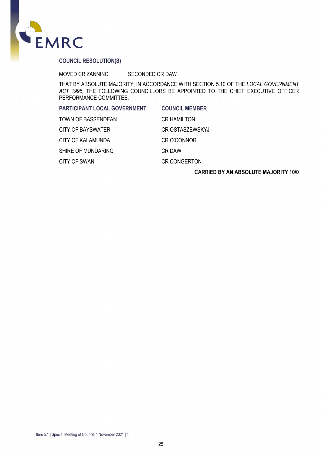

#### **COUNCIL RESOLUTION(S)**

MOVED CR ZANNINO SECONDED CR DAW

THAT BY ABSOLUTE MAJORITY, IN ACCORDANCE WITH SECTION 5.10 OF THE *LOCAL GOVERNMENT ACT 1995,* THE FOLLOWING COUNCILLORS BE APPOINTED TO THE CHIEF EXECUTIVE OFFICER PERFORMANCE COMMITTEE:

| <b>PARTICIPANT LOCAL GOVERNMENT</b> | <b>COUNCIL MEMBER</b>  |
|-------------------------------------|------------------------|
| TOWN OF BASSENDEAN                  | <b>CR HAMILTON</b>     |
| CITY OF BAYSWATER                   | <b>CR OSTASZEWSKYJ</b> |
| CITY OF KALAMUNDA                   | <b>CR O'CONNOR</b>     |
| SHIRE OF MUNDARING                  | CR DAW                 |
| CITY OF SWAN                        | <b>CR CONGERTON</b>    |
|                                     |                        |

#### **CARRIED BY AN ABSOLUTE MAJORITY 10/0**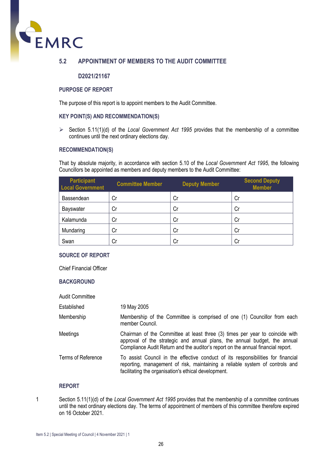

#### **5.2 APPOINTMENT OF MEMBERS TO THE AUDIT COMMITTEE**

#### **D2021/21167**

#### **PURPOSE OF REPORT**

The purpose of this report is to appoint members to the Audit Committee.

#### **KEY POINT(S) AND RECOMMENDATION(S)**

 $\triangleright$  Section 5.11(1)(d) of the *Local Government Act 1995* provides that the membership of a committee continues until the next ordinary elections day.

#### **RECOMMENDATION(S)**

That by absolute majority, in accordance with section 5.10 of the *Local Government Act 1995*, the following Councillors be appointed as members and deputy members to the Audit Committee:

| <b>Participant</b><br><b>Local Government</b> | <b>Committee Member</b> | <b>Deputy Member</b> | <b>Second Deputy</b><br><b>Member</b> |
|-----------------------------------------------|-------------------------|----------------------|---------------------------------------|
| Bassendean                                    | Cr                      | Сr                   | Cr                                    |
| <b>Bayswater</b>                              | Cr                      | Cr                   | Cr                                    |
| Kalamunda                                     | Cr                      | Cr                   | Cr                                    |
| Mundaring                                     | Cr                      | Cr                   | Cr                                    |
| Swan                                          | Cr                      | Cr                   | Cr                                    |

#### **SOURCE OF REPORT**

Chief Financial Officer

#### **BACKGROUND**

| <b>Audit Committee</b> |                                                                                                                                                                                                                                               |
|------------------------|-----------------------------------------------------------------------------------------------------------------------------------------------------------------------------------------------------------------------------------------------|
| Established            | 19 May 2005                                                                                                                                                                                                                                   |
| Membership             | Membership of the Committee is comprised of one (1) Councillor from each<br>member Council.                                                                                                                                                   |
| Meetings               | Chairman of the Committee at least three (3) times per year to coincide with<br>approval of the strategic and annual plans, the annual budget, the annual<br>Compliance Audit Return and the auditor's report on the annual financial report. |
| Terms of Reference     | To assist Council in the effective conduct of its responsibilities for financial<br>reporting, management of risk, maintaining a reliable system of controls and<br>facilitating the organisation's ethical development.                      |

#### **REPORT**

1 Section 5.11(1)(d) of the *Local Government Act 1995* provides that the membership of a committee continues until the next ordinary elections day. The terms of appointment of members of this committee therefore expired on 16 October 2021.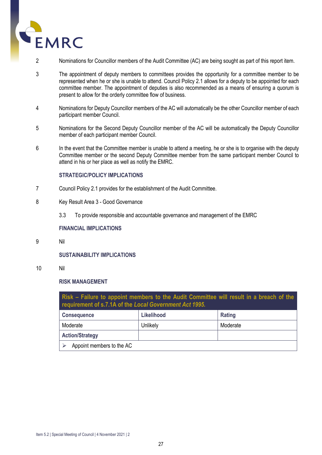

- 2 Nominations for Councillor members of the Audit Committee (AC) are being sought as part of this report item.
- 3 The appointment of deputy members to committees provides the opportunity for a committee member to be represented when he or she is unable to attend. Council Policy 2.1 allows for a deputy to be appointed for each committee member. The appointment of deputies is also recommended as a means of ensuring a quorum is present to allow for the orderly committee flow of business.
- 4 Nominations for Deputy Councillor members of the AC will automatically be the other Councillor member of each participant member Council.
- 5 Nominations for the Second Deputy Councillor member of the AC will be automatically the Deputy Councillor member of each participant member Council.
- 6 In the event that the Committee member is unable to attend a meeting, he or she is to organise with the deputy Committee member or the second Deputy Committee member from the same participant member Council to attend in his or her place as well as notify the EMRC.

#### **STRATEGIC/POLICY IMPLICATIONS**

- 7 Council Policy 2.1 provides for the establishment of the Audit Committee.
- 8 Key Result Area 3 Good Governance
	- 3.3 To provide responsible and accountable governance and management of the EMRC

#### **FINANCIAL IMPLICATIONS**

9 Nil

#### **SUSTAINABILITY IMPLICATIONS**

10 Nil

#### **RISK MANAGEMENT**

| Risk – Failure to appoint members to the Audit Committee will result in a breach of the<br>requirement of s.7.1A of the Local Government Act 1995. |            |          |  |
|----------------------------------------------------------------------------------------------------------------------------------------------------|------------|----------|--|
| <b>Consequence</b>                                                                                                                                 | Likelihood | Rating   |  |
| Moderate                                                                                                                                           | Unlikely   | Moderate |  |
| <b>Action/Strategy</b>                                                                                                                             |            |          |  |
| Appoint members to the AC                                                                                                                          |            |          |  |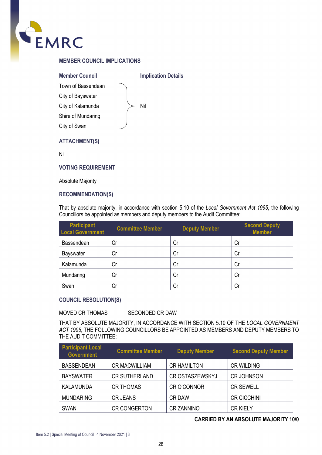

#### **MEMBER COUNCIL IMPLICATIONS**

**Member Council Implication Details** Town of Bassendean Nil City of Bayswater City of Kalamunda Shire of Mundaring City of Swan **ATTACHMENT(S)**

Nil

**VOTING REQUIREMENT**

Absolute Majority

#### **RECOMMENDATION(S)**

That by absolute majority, in accordance with section 5.10 of the *Local Government Act 1995*, the following Councillors be appointed as members and deputy members to the Audit Committee:

| <b>Participant</b><br><b>Local Government</b> | <b>Committee Member</b> | <b>Deputy Member</b> | <b>Second Deputy</b><br><b>Member</b> |
|-----------------------------------------------|-------------------------|----------------------|---------------------------------------|
| Bassendean                                    | Cr                      | Cr                   | Cr                                    |
| <b>Bayswater</b>                              | Cr                      | Cr                   | Cr                                    |
| Kalamunda                                     | Cr                      | Сr                   | Cr                                    |
| Mundaring                                     | Cr                      | Cr                   | Cr                                    |
| Swan                                          | Cr                      | Сr                   | Cr                                    |

#### **COUNCIL RESOLUTION(S)**

#### MOVED CR THOMAS SECONDED CR DAW

THAT BY ABSOLUTE MAJORITY, IN ACCORDANCE WITH SECTION 5.10 OF THE *LOCAL GOVERNMENT ACT 1995*, THE FOLLOWING COUNCILLORS BE APPOINTED AS MEMBERS AND DEPUTY MEMBERS TO THE AUDIT COMMITTEE:

| <b>Participant Local</b><br><b>Government</b> | <b>Committee Member</b> | <b>Deputy Member</b>   | <b>Second Deputy Member</b> |
|-----------------------------------------------|-------------------------|------------------------|-----------------------------|
| <b>BASSENDEAN</b>                             | <b>CR MACWILLIAM</b>    | <b>CR HAMILTON</b>     | <b>CR WILDING</b>           |
| <b>BAYSWATER</b>                              | <b>CR SUTHERLAND</b>    | <b>CR OSTASZEWSKYJ</b> | <b>CR JOHNSON</b>           |
| <b>KALAMUNDA</b>                              | <b>CR THOMAS</b>        | <b>CRO'CONNOR</b>      | <b>CR SEWELL</b>            |
| <b>MUNDARING</b>                              | <b>CR JEANS</b>         | <b>CR DAW</b>          | <b>CR CICCHINI</b>          |
| <b>SWAN</b>                                   | <b>CR CONGERTON</b>     | <b>CR ZANNINO</b>      | <b>CR KIELY</b>             |

#### **CARRIED BY AN ABSOLUTE MAJORITY 10/0**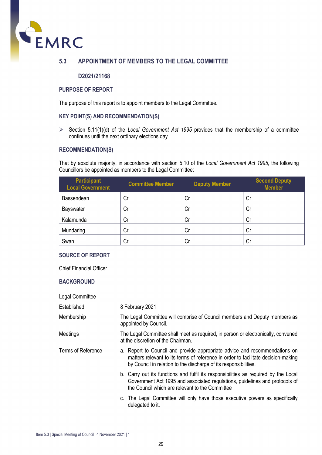

#### **5.3 APPOINTMENT OF MEMBERS TO THE LEGAL COMMITTEE**

#### **D2021/21168**

#### **PURPOSE OF REPORT**

The purpose of this report is to appoint members to the Legal Committee.

#### **KEY POINT(S) AND RECOMMENDATION(S)**

 $\triangleright$  Section 5.11(1)(d) of the *Local Government Act 1995* provides that the membership of a committee continues until the next ordinary elections day.

#### **RECOMMENDATION(S)**

That by absolute majority, in accordance with section 5.10 of the *Local Government Act 1995*, the following Councillors be appointed as members to the Legal Committee:

| <b>Participant</b><br><b>Local Government</b> | <b>Committee Member</b> | <b>Deputy Member</b> | <b>Second Deputy</b><br><b>Member</b> |
|-----------------------------------------------|-------------------------|----------------------|---------------------------------------|
| Bassendean                                    | Cr                      | Cr                   | Cr                                    |
| <b>Bayswater</b>                              | Cr                      | Cr                   | Сr                                    |
| Kalamunda                                     | Cr                      | Сr                   | Сr                                    |
| Mundaring                                     | Cr                      | Cr                   | Сr                                    |
| Swan                                          | Cr                      | Cr                   | Cr                                    |

#### **SOURCE OF REPORT**

Chief Financial Officer

#### **BACKGROUND**

| Legal Committee    |                                                                                                                                                                                                                                     |  |  |
|--------------------|-------------------------------------------------------------------------------------------------------------------------------------------------------------------------------------------------------------------------------------|--|--|
| Established        | 8 February 2021                                                                                                                                                                                                                     |  |  |
| Membership         | The Legal Committee will comprise of Council members and Deputy members as<br>appointed by Council.                                                                                                                                 |  |  |
| Meetings           | The Legal Committee shall meet as required, in person or electronically, convened<br>at the discretion of the Chairman.                                                                                                             |  |  |
| Terms of Reference | a. Report to Council and provide appropriate advice and recommendations on<br>matters relevant to its terms of reference in order to facilitate decision-making<br>by Council in relation to the discharge of its responsibilities. |  |  |
|                    | b. Carry out its functions and fulfil its responsibilities as required by the Local<br>Government Act 1995 and associated regulations, guidelines and protocols of<br>the Council which are relevant to the Committee               |  |  |
|                    | c. The Legal Committee will only have those executive powers as specifically<br>delegated to it.                                                                                                                                    |  |  |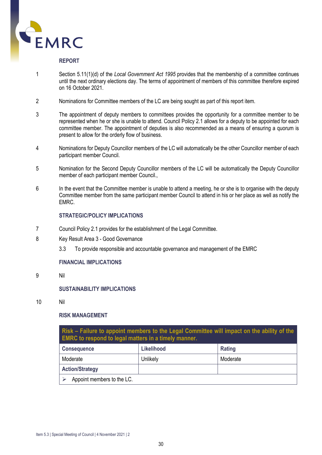

#### **REPORT**

- 1 Section 5.11(1)(d) of the *Local Government Act 1995* provides that the membership of a committee continues until the next ordinary elections day. The terms of appointment of members of this committee therefore expired on 16 October 2021.
- 2 Nominations for Committee members of the LC are being sought as part of this report item.
- 3 The appointment of deputy members to committees provides the opportunity for a committee member to be represented when he or she is unable to attend. Council Policy 2.1 allows for a deputy to be appointed for each committee member. The appointment of deputies is also recommended as a means of ensuring a quorum is present to allow for the orderly flow of business.
- 4 Nominations for Deputy Councillor members of the LC will automatically be the other Councillor member of each participant member Council.
- 5 Nomination for the Second Deputy Councillor members of the LC will be automatically the Deputy Councillor member of each participant member Council.,
- 6 In the event that the Committee member is unable to attend a meeting, he or she is to organise with the deputy Committee member from the same participant member Council to attend in his or her place as well as notify the EMRC.

#### **STRATEGIC/POLICY IMPLICATIONS**

- 7 Council Policy 2.1 provides for the establishment of the Legal Committee.
- 8 Key Result Area 3 Good Governance
	- 3.3 To provide responsible and accountable governance and management of the EMRC

#### **FINANCIAL IMPLICATIONS**

9 Nil

#### **SUSTAINABILITY IMPLICATIONS**

10 Nil

#### **RISK MANAGEMENT**

**Risk – Failure to appoint members to the Legal Committee will impact on the ability of the EMRC to respond to legal matters in a timely manner.**

| <b>Consequence</b>         | <b>Likelihood</b> | Rating   |
|----------------------------|-------------------|----------|
| Moderate                   | Unlikely          | Moderate |
| <b>Action/Strategy</b>     |                   |          |
| Appoint members to the LC. |                   |          |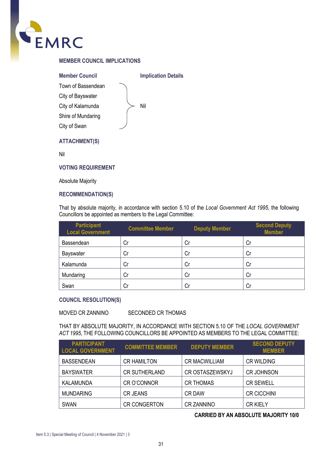

#### **MEMBER COUNCIL IMPLICATIONS**

**Member Council Implication Details** Town of Bassendean Nil City of Bayswater City of Kalamunda Shire of Mundaring City of Swan **ATTACHMENT(S)**

Nil

**VOTING REQUIREMENT**

Absolute Majority

#### **RECOMMENDATION(S)**

That by absolute majority, in accordance with section 5.10 of the *Local Government Act 1995*, the following Councillors be appointed as members to the Legal Committee:

| <b>Participant</b><br><b>Local Government</b> | <b>Committee Member</b> | <b>Deputy Member</b> | <b>Second Deputy</b><br><b>Member</b> |
|-----------------------------------------------|-------------------------|----------------------|---------------------------------------|
| Bassendean                                    | Cr                      | Cr                   | Cr                                    |
| <b>Bayswater</b>                              | Cr                      | Cr                   | Cr                                    |
| Kalamunda                                     | Cr                      | Cr                   | Cr                                    |
| Mundaring                                     | Cr                      | Cr                   | Cr                                    |
| Swan                                          | Cr                      | Cr                   | Cr                                    |

#### **COUNCIL RESOLUTION(S)**

#### MOVED CR ZANNINO SECONDED CR THOMAS

THAT BY ABSOLUTE MAJORITY, IN ACCORDANCE WITH SECTION 5.10 OF THE *LOCAL GOVERNMENT ACT 1995*, THE FOLLOWING COUNCILLORS BE APPOINTED AS MEMBERS TO THE LEGAL COMMITTEE:

| <b>PARTICIPANT</b><br><b>LOCAL GOVERNMENT</b> | <b>COMMITTEE MEMBER</b> | <b>DEPUTY MEMBER</b>   | <b>SECOND DEPUTY</b><br><b>MEMBER</b> |
|-----------------------------------------------|-------------------------|------------------------|---------------------------------------|
| <b>BASSENDEAN</b>                             | <b>CR HAMILTON</b>      | <b>CR MACWILLIAM</b>   | <b>CR WILDING</b>                     |
| <b>BAYSWATER</b>                              | <b>CR SUTHERLAND</b>    | <b>CR OSTASZEWSKYJ</b> | <b>CR JOHNSON</b>                     |
| KALAMUNDA                                     | <b>CRO'CONNOR</b>       | <b>CR THOMAS</b>       | <b>CR SEWELL</b>                      |
| <b>MUNDARING</b>                              | <b>CR JEANS</b>         | <b>CR DAW</b>          | <b>CR CICCHINI</b>                    |
| <b>SWAN</b>                                   | <b>CR CONGERTON</b>     | <b>CR ZANNINO</b>      | <b>CR KIELY</b>                       |

#### **CARRIED BY AN ABSOLUTE MAJORITY 10/0**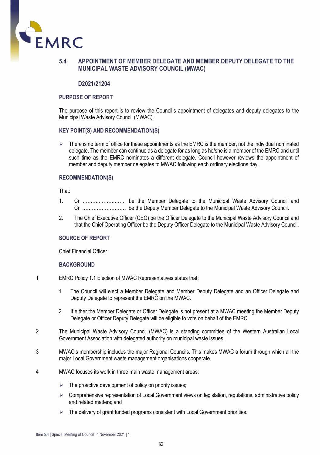

#### **5.4 APPOINTMENT OF MEMBER DELEGATE AND MEMBER DEPUTY DELEGATE TO THE MUNICIPAL WASTE ADVISORY COUNCIL (MWAC)**

#### **D2021/21204**

#### **PURPOSE OF REPORT**

The purpose of this report is to review the Council's appointment of delegates and deputy delegates to the Municipal Waste Advisory Council (MWAC).

#### **KEY POINT(S) AND RECOMMENDATION(S)**

 There is no term of office for these appointments as the EMRC is the member, not the individual nominated delegate. The member can continue as a delegate for as long as he/she is a member of the EMRC and until such time as the EMRC nominates a different delegate. Council however reviews the appointment of member and deputy member delegates to MWAC following each ordinary elections day.

#### **RECOMMENDATION(S)**

That:

- 1. Cr ……….……….……. be the Member Delegate to the Municipal Waste Advisory Council and Cr ……………………… be the Deputy Member Delegate to the Municipal Waste Advisory Council.
- 2. The Chief Executive Officer (CEO) be the Officer Delegate to the Municipal Waste Advisory Council and that the Chief Operating Officer be the Deputy Officer Delegate to the Municipal Waste Advisory Council.

#### **SOURCE OF REPORT**

Chief Financial Officer

#### **BACKGROUND**

- 1 EMRC Policy 1.1 Election of MWAC Representatives states that:
	- 1. The Council will elect a Member Delegate and Member Deputy Delegate and an Officer Delegate and Deputy Delegate to represent the EMRC on the MWAC.
	- 2. If either the Member Delegate or Officer Delegate is not present at a MWAC meeting the Member Deputy Delegate or Officer Deputy Delegate will be eligible to vote on behalf of the EMRC.
- 2 The Municipal Waste Advisory Council (MWAC) is a standing committee of the Western Australian Local Government Association with delegated authority on municipal waste issues.
- 3 MWAC's membership includes the major Regional Councils. This makes MWAC a forum through which all the major Local Government waste management organisations cooperate.
- 4 MWAC focuses its work in three main waste management areas:
	- $\triangleright$  The proactive development of policy on priority issues;
	- $\triangleright$  Comprehensive representation of Local Government views on legislation, regulations, administrative policy and related matters; and
	- $\triangleright$  The delivery of grant funded programs consistent with Local Government priorities.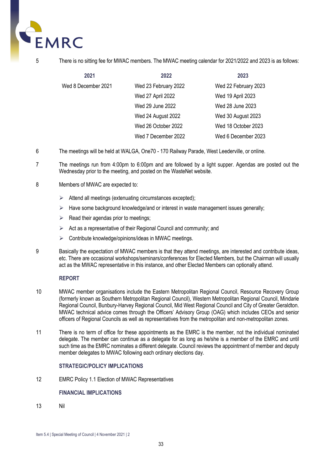

#### 5 There is no sitting fee for MWAC members. The MWAC meeting calendar for 2021/2022 and 2023 is as follows:

| 2021                | 2022                 | 2023                 |
|---------------------|----------------------|----------------------|
| Wed 8 December 2021 | Wed 23 February 2022 | Wed 22 February 2023 |
|                     | Wed 27 April 2022    | Wed 19 April 2023    |
|                     | Wed 29 June 2022     | Wed 28 June 2023     |
|                     | Wed 24 August 2022   | Wed 30 August 2023   |
|                     | Wed 26 October 2022  | Wed 18 October 2023  |
|                     | Wed 7 December 2022  | Wed 6 December 2023  |

- 6 The meetings will be held at WALGA, One70 170 Railway Parade, West Leederville, or online.
- 7 The meetings run from 4:00pm to 6:00pm and are followed by a light supper. Agendas are posted out the Wednesday prior to the meeting, and posted on the WasteNet website.
- 8 Members of MWAC are expected to:
	- $\triangleright$  Attend all meetings (extenuating circumstances excepted);
	- $\triangleright$  Have some background knowledge/and or interest in waste management issues generally;
	- $\triangleright$  Read their agendas prior to meetings:
	- $\triangleright$  Act as a representative of their Regional Council and community; and
	- $\triangleright$  Contribute knowledge/opinions/ideas in MWAC meetings.
- 9 Basically the expectation of MWAC members is that they attend meetings, are interested and contribute ideas, etc. There are occasional workshops/seminars/conferences for Elected Members, but the Chairman will usually act as the MWAC representative in this instance, and other Elected Members can optionally attend.

#### **REPORT**

- 10 MWAC member organisations include the Eastern Metropolitan Regional Council, Resource Recovery Group (formerly known as Southern Metropolitan Regional Council), Western Metropolitan Regional Council, Mindarie Regional Council, Bunbury-Harvey Regional Council, Mid West Regional Council and City of Greater Geraldton. MWAC technical advice comes through the Officers' Advisory Group (OAG) which includes CEOs and senior officers of Regional Councils as well as representatives from the metropolitan and non-metropolitan zones.
- 11 There is no term of office for these appointments as the EMRC is the member, not the individual nominated delegate. The member can continue as a delegate for as long as he/she is a member of the EMRC and until such time as the EMRC nominates a different delegate. Council reviews the appointment of member and deputy member delegates to MWAC following each ordinary elections day.

#### **STRATEGIC/POLICY IMPLICATIONS**

12 EMRC Policy 1.1 Election of MWAC Representatives

#### **FINANCIAL IMPLICATIONS**

13 Nil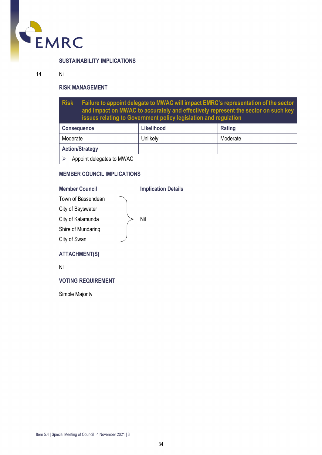

#### **SUSTAINABILITY IMPLICATIONS**

#### 14 Nil

#### **RISK MANAGEMENT**

**Risk Failure to appoint delegate to MWAC will impact EMRC's representation of the sector and impact on MWAC to accurately and effectively represent the sector on such key issues relating to Government policy legislation and regulation**

| <b>Consequence</b>        | Likelihood | Rating   |
|---------------------------|------------|----------|
| Moderate                  | Unlikely   | Moderate |
| <b>Action/Strategy</b>    |            |          |
| Appoint delegates to MWAC |            |          |

#### **MEMBER COUNCIL IMPLICATIONS**

#### **Member Council Implication Details**

| Town of Bassendean   |     |
|----------------------|-----|
| City of Bayswater    |     |
| City of Kalamunda    | Nil |
| Shire of Mundaring   |     |
| City of Swan         |     |
| <b>ATTACHMENT(S)</b> |     |
|                      |     |

Nil

#### **VOTING REQUIREMENT**

Simple Majority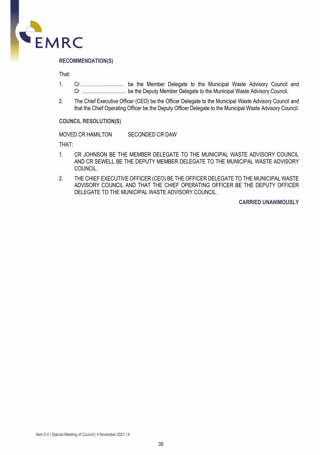

That:

- 1. Cr ……….……….……. be the Member Delegate to the Municipal Waste Advisory Council and Cr ……………………… be the Deputy Member Delegate to the Municipal Waste Advisory Council.
- 2. The Chief Executive Officer (CEO) be the Officer Delegate to the Municipal Waste Advisory Council and that the Chief Operating Officer be the Deputy Officer Delegate to the Municipal Waste Advisory Council.

#### **COUNCIL RESOLUTION(S)**

MOVED CR HAMILTON SECONDED CR DAW

THAT:

- 1. CR JOHNSON BE THE MEMBER DELEGATE TO THE MUNICIPAL WASTE ADVISORY COUNCIL AND CR SEWELL BE THE DEPUTY MEMBER DELEGATE TO THE MUNICIPAL WASTE ADVISORY COUNCIL.
- 2. THE CHIEF EXECUTIVE OFFICER (CEO) BE THE OFFICER DELEGATE TO THE MUNICIPAL WASTE ADVISORY COUNCIL AND THAT THE CHIEF OPERATING OFFICER BE THE DEPUTY OFFICER DELEGATE TO THE MUNICIPAL WASTE ADVISORY COUNCIL.

**CARRIED UNANIMOUSLY**